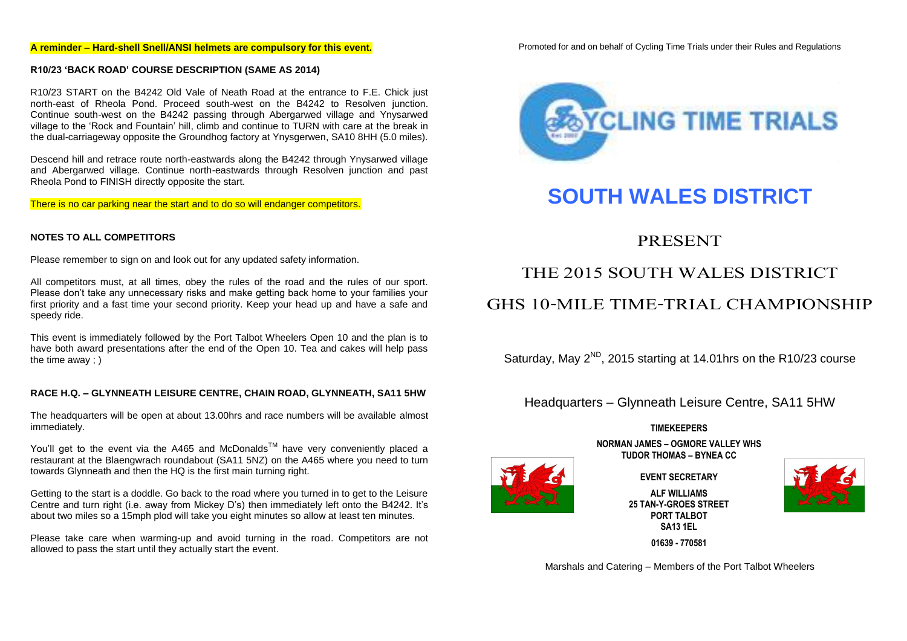#### **A reminder – Hard-shell Snell/ANSI helmets are compulsory for this event.**

Promoted for and on behalf of Cycling Time Trials under their Rules and Regulations

#### **R10/23 'BACK ROAD' COURSE DESCRIPTION (SAME AS 2014)**

R10/23 START on the B4242 Old Vale of Neath Road at the entrance to F.E. Chick just north-east of Rheola Pond. Proceed south-west on the B4242 to Resolven junction. Continue south-west on the B4242 passing through Abergarwed village and Ynysarwed village to the 'Rock and Fountain' hill, climb and continue to TURN with care at the break in the dual-carriageway opposite the Groundhog factory at Ynysgerwen, SA10 8HH (5.0 miles).

Descend hill and retrace route north-eastwards along the B4242 through Ynysarwed village and Abergarwed village. Continue north-eastwards through Resolven junction and past Rheola Pond to FINISH directly opposite the start.

There is no car parking near the start and to do so will endanger competitors.

#### **NOTES TO ALL COMPETITORS**

Please remember to sign on and look out for any updated safety information.

All competitors must, at all times, obey the rules of the road and the rules of our sport. Please don't take any unnecessary risks and make getting back home to your families your first priority and a fast time your second priority. Keep your head up and have a safe and speedy ride.

This event is immediately followed by the Port Talbot Wheelers Open 10 and the plan is to have both award presentations after the end of the Open 10. Tea and cakes will help pass the time away ; )

#### **RACE H.Q. – GLYNNEATH LEISURE CENTRE, CHAIN ROAD, GLYNNEATH, SA11 5HW**

The headquarters will be open at about 13.00hrs and race numbers will be available almost immediately.

You'll get to the event via the A465 and McDonalds™ have very conveniently placed a restaurant at the Blaengwrach roundabout (SA11 5NZ) on the A465 where you need to turn towards Glynneath and then the HQ is the first main turning right.

Getting to the start is a doddle. Go back to the road where you turned in to get to the Leisure Centre and turn right (i.e. away from Mickey D's) then immediately left onto the B4242. It's about two miles so a 15mph plod will take you eight minutes so allow at least ten minutes.

Please take care when warming-up and avoid turning in the road. Competitors are not allowed to pass the start until they actually start the event.



# **SOUTH WALES DISTRICT**

PRESENT

# THE 2015 SOUTH WALES DISTRICT

## GHS 10-MILE TIME-TRIAL CHAMPIONSHIP

Saturday, May  $2^{ND}$ , 2015 starting at 14.01hrs on the R10/23 course

Headquarters – Glynneath Leisure Centre, SA11 5HW

#### **TIMEKEEPERS**

**NORMAN JAMES – OGMORE VALLEY WHS TUDOR THOMAS – BYNEA CC**

**EVENT SECRETARY**

**ALF WILLIAMS 25 TAN-Y-GROES STREET PORT TALBOT SA13 1EL**



**01639 - 770581**

Marshals and Catering – Members of the Port Talbot Wheelers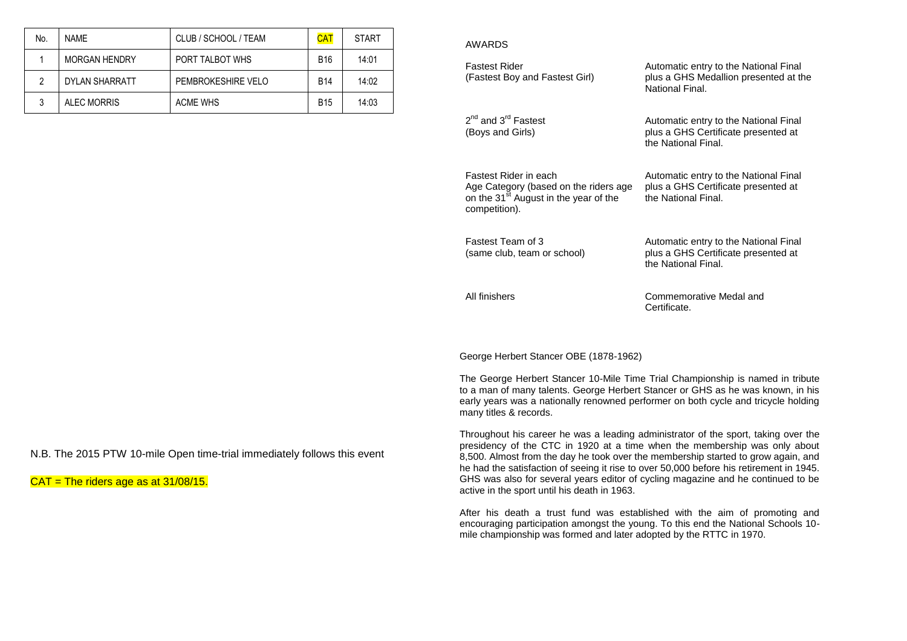| No. | <b>NAME</b>           | CLUB / SCHOOL / TEAM | <b>CAT</b> | <b>START</b> | AWARDS           |
|-----|-----------------------|----------------------|------------|--------------|------------------|
|     | <b>MORGAN HENDRY</b>  | PORT TALBOT WHS      | <b>B16</b> | 14:01        | <b>Fastest R</b> |
|     | <b>DYLAN SHARRATT</b> | PEMBROKESHIRE VELO   | <b>B14</b> | 14:02        | (Fastest E       |
|     | <b>ALEC MORRIS</b>    | <b>ACME WHS</b>      | <b>B15</b> | 14:03        |                  |

| <b>Fastest Rider</b><br>(Fastest Boy and Fastest Girl)                                                                               | Automatic entry to the National Final<br>plus a GHS Medallion presented at the<br>National Final.   |
|--------------------------------------------------------------------------------------------------------------------------------------|-----------------------------------------------------------------------------------------------------|
| 2 <sup>nd</sup> and 3 <sup>rd</sup> Fastest<br>(Boys and Girls)                                                                      | Automatic entry to the National Final<br>plus a GHS Certificate presented at<br>the National Final. |
| Fastest Rider in each<br>Age Category (based on the riders age<br>on the 31 <sup>st</sup> August in the year of the<br>competition). | Automatic entry to the National Final<br>plus a GHS Certificate presented at<br>the National Final. |
| <b>Eastest Team of 3</b><br>(same club, team or school)                                                                              | Automatic entry to the National Final<br>plus a GHS Certificate presented at<br>the National Final. |
| All finishers                                                                                                                        | Commemorative Medal and<br>Certificate.                                                             |

George Herbert Stancer OBE (1878-1962)

The George Herbert Stancer 10-Mile Time Trial Championship is named in tribute to a man of many talents. George Herbert Stancer or GHS as he was known, in his early years was a nationally renowned performer on both cycle and tricycle holding many titles & records.

Throughout his career he was a leading administrator of the sport, taking over the presidency of the CTC in 1920 at a time when the membership was only about 8,500. Almost from the day he took over the membership started to grow again, and he had the satisfaction of seeing it rise to over 50,000 before his retirement in 1945. GHS was also for several years editor of cycling magazine and he continued to be active in the sport until his death in 1963.

After his death a trust fund was established with the aim of promoting and encouraging participation amongst the young. To this end the National Schools 10 mile championship was formed and later adopted by the RTTC in 1970.

N.B. The 2015 PTW 10-mile Open time-trial immediately follows this event

 $CAT = The$  riders age as at 31/08/15.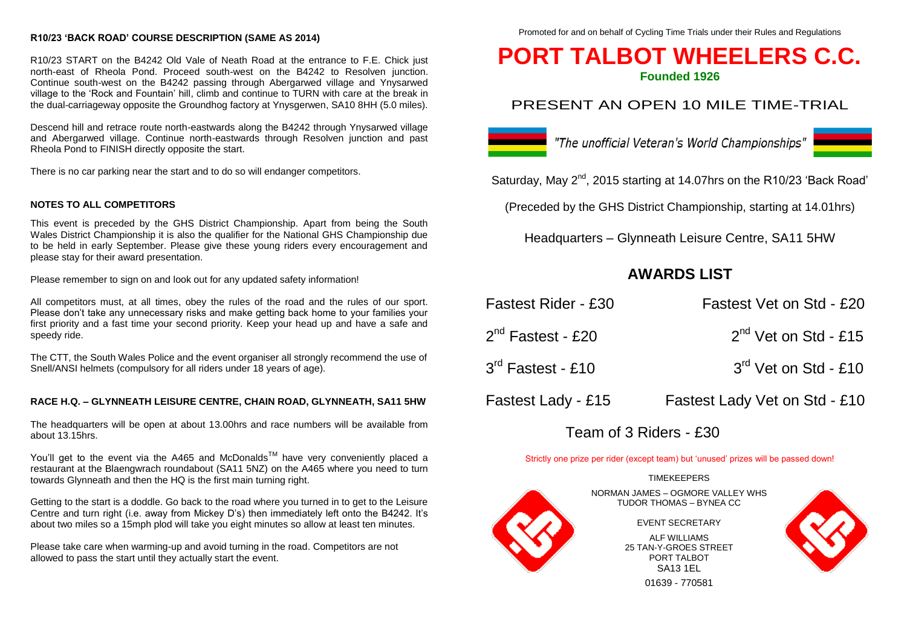#### **R10/23 'BACK ROAD' COURSE DESCRIPTION (SAME AS 2014)**

R10/23 START on the B4242 Old Vale of Neath Road at the entrance to F.E. Chick just north-east of Rheola Pond. Proceed south-west on the B4242 to Resolven junction. Continue south-west on the B4242 passing through Abergarwed village and Ynysarwed village to the 'Rock and Fountain' hill, climb and continue to TURN with care at the break in the dual-carriageway opposite the Groundhog factory at Ynysgerwen, SA10 8HH (5.0 miles).

Descend hill and retrace route north-eastwards along the B4242 through Ynysarwed village and Abergarwed village. Continue north-eastwards through Resolven junction and past Rheola Pond to FINISH directly opposite the start.

There is no car parking near the start and to do so will endanger competitors.

#### **NOTES TO ALL COMPETITORS**

This event is preceded by the GHS District Championship. Apart from being the South Wales District Championship it is also the qualifier for the National GHS Championship due to be held in early September. Please give these young riders every encouragement and please stay for their award presentation.

Please remember to sign on and look out for any updated safety information!

All competitors must, at all times, obey the rules of the road and the rules of our sport. Please don't take any unnecessary risks and make getting back home to your families your first priority and a fast time your second priority. Keep your head up and have a safe and speedy ride.

The CTT, the South Wales Police and the event organiser all strongly recommend the use of Snell/ANSI helmets (compulsory for all riders under 18 years of age).

#### **RACE H.Q. – GLYNNEATH LEISURE CENTRE, CHAIN ROAD, GLYNNEATH, SA11 5HW**

The headquarters will be open at about 13.00hrs and race numbers will be available from about 13.15hrs.

You'll get to the event via the A465 and McDonalds<sup>TM</sup> have very conveniently placed a restaurant at the Blaengwrach roundabout (SA11 5NZ) on the A465 where you need to turn towards Glynneath and then the HQ is the first main turning right.

Getting to the start is a doddle. Go back to the road where you turned in to get to the Leisure Centre and turn right (i.e. away from Mickey D's) then immediately left onto the B4242. It's about two miles so a 15mph plod will take you eight minutes so allow at least ten minutes.

Please take care when warming-up and avoid turning in the road. Competitors are not allowed to pass the start until they actually start the event.

Promoted for and on behalf of Cycling Time Trials under their Rules and Regulations

# **PORT TALBOT WHEELERS C.C.**

**Founded 1926**

### PRESENT AN OPEN 10 MILE TIME-TRIAL



■ "The unofficial Veteran's World Championships"

Saturday, May 2<sup>nd</sup>, 2015 starting at 14.07hrs on the R10/23 'Back Road'

(Preceded by the GHS District Championship, starting at 14.01hrs)

Headquarters – Glynneath Leisure Centre, SA11 5HW

# **AWARDS LIST**

| Fastest Rider - £30 | Fastest Vet on Std - £20      |
|---------------------|-------------------------------|
| $2nd$ Fastest - £20 | $2nd$ Vet on Std - £15        |
| $3rd$ Fastest - £10 | $3rd$ Vet on Std - £10        |
| Fastest Lady - £15  | Fastest Lady Vet on Std - £10 |

# Team of 3 Riders - £30

Strictly one prize per rider (except team) but 'unused' prizes will be passed down!

### **TIMEKEEPERS**

NORMAN JAMES – OGMORE VALLEY WHS TUDOR THOMAS – BYNEA CC

EVENT SECRETARY

ALF WILLIAMS 25 TAN-Y-GROES STREET PORT TAI BOT SA13 1EL

01639 - 770581